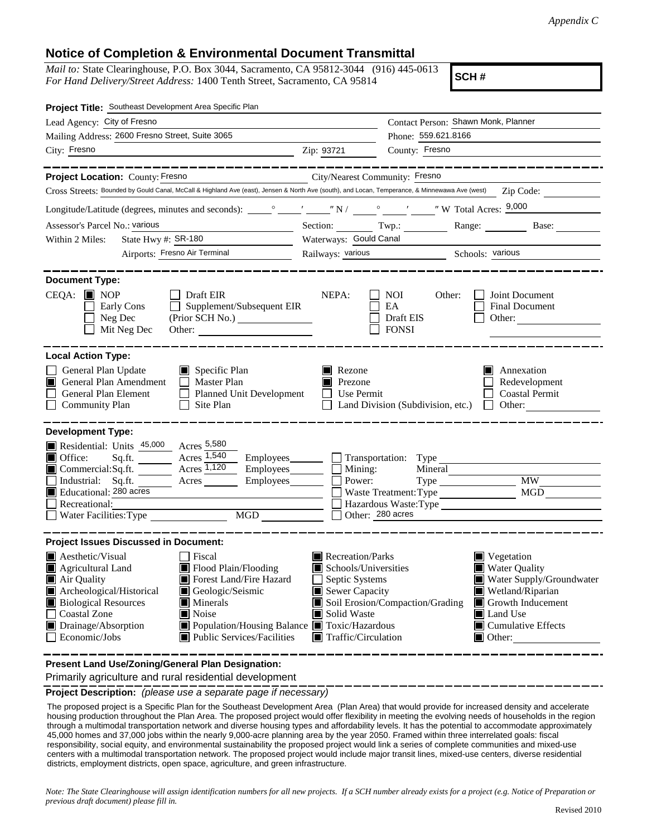## **Notice of Completion & Environmental Document Transmittal**

*Mail to:* State Clearinghouse, P.O. Box 3044, Sacramento, CA 95812-3044 (916) 445-0613 *For Hand Delivery/Street Address:* 1400 Tenth Street, Sacramento, CA 95814

**SCH #**

| Project Title: Southeast Development Area Specific Plan                                                                                                                                                                                                                                                                                                                                                                 |                                                                                                                                          |                                                                                                                                                                                                                                            |  |  |  |  |
|-------------------------------------------------------------------------------------------------------------------------------------------------------------------------------------------------------------------------------------------------------------------------------------------------------------------------------------------------------------------------------------------------------------------------|------------------------------------------------------------------------------------------------------------------------------------------|--------------------------------------------------------------------------------------------------------------------------------------------------------------------------------------------------------------------------------------------|--|--|--|--|
| Lead Agency: City of Fresno                                                                                                                                                                                                                                                                                                                                                                                             | Contact Person: Shawn Monk, Planner                                                                                                      |                                                                                                                                                                                                                                            |  |  |  |  |
| Mailing Address: 2600 Fresno Street, Suite 3065                                                                                                                                                                                                                                                                                                                                                                         |                                                                                                                                          | Phone: 559.621.8166                                                                                                                                                                                                                        |  |  |  |  |
| City: Fresno                                                                                                                                                                                                                                                                                                                                                                                                            | Zip: 93721                                                                                                                               | County: Fresno                                                                                                                                                                                                                             |  |  |  |  |
|                                                                                                                                                                                                                                                                                                                                                                                                                         |                                                                                                                                          |                                                                                                                                                                                                                                            |  |  |  |  |
| Project Location: County: Fresno                                                                                                                                                                                                                                                                                                                                                                                        | City/Nearest Community: Fresno                                                                                                           |                                                                                                                                                                                                                                            |  |  |  |  |
| Cross Streets: Bounded by Gould Canal, McCall & Highland Ave (east), Jensen & North Ave (south), and Locan, Temperance, & Minnewawa Ave (west)<br>Zip Code:                                                                                                                                                                                                                                                             |                                                                                                                                          |                                                                                                                                                                                                                                            |  |  |  |  |
|                                                                                                                                                                                                                                                                                                                                                                                                                         |                                                                                                                                          |                                                                                                                                                                                                                                            |  |  |  |  |
| Assessor's Parcel No.: various                                                                                                                                                                                                                                                                                                                                                                                          |                                                                                                                                          | Section: Twp.: Range: Base:                                                                                                                                                                                                                |  |  |  |  |
| State Hwy #: SR-180<br>Within 2 Miles:                                                                                                                                                                                                                                                                                                                                                                                  | Waterways: Gould Canal                                                                                                                   |                                                                                                                                                                                                                                            |  |  |  |  |
| Airports: Fresno Air Terminal                                                                                                                                                                                                                                                                                                                                                                                           |                                                                                                                                          | Railways: various Schools: various                                                                                                                                                                                                         |  |  |  |  |
| <b>Document Type:</b><br>$CEQA: \blacksquare \text{NOP}$<br>Draft EIR<br>Supplement/Subsequent EIR<br>Early Cons<br>Neg Dec                                                                                                                                                                                                                                                                                             | NEPA:                                                                                                                                    | Joint Document<br>NOI.<br>Other:<br>EA<br>Final Document<br>Draft EIS                                                                                                                                                                      |  |  |  |  |
| (Prior SCH No.)<br>Other:<br>$\Box$ Mit Neg Dec<br><b>FONSI</b><br>Other:                                                                                                                                                                                                                                                                                                                                               |                                                                                                                                          |                                                                                                                                                                                                                                            |  |  |  |  |
| <b>Local Action Type:</b>                                                                                                                                                                                                                                                                                                                                                                                               |                                                                                                                                          |                                                                                                                                                                                                                                            |  |  |  |  |
| General Plan Update<br>$\Box$ Specific Plan<br>General Plan Amendment<br>П<br>Master Plan<br>General Plan Element<br>Planned Unit Development<br>$\Box$ Site Plan<br>Community Plan                                                                                                                                                                                                                                     | Rezone<br>$\blacksquare$ Prezone<br>Use Permit                                                                                           | Annexation<br>Redevelopment<br><b>Coastal Permit</b><br>Land Division (Subdivision, etc.) $\Box$ Other:                                                                                                                                    |  |  |  |  |
| <b>Development Type:</b><br>Acres 5,580<br>Residential: Units 45,000<br>Acres 1,540<br><b>■</b> Office:<br>Sq.ft.<br>Employees________<br>Acres 1,120<br>Commercial:Sq.ft.<br>Employees________<br>Industrial: Sq.ft.<br>$A$ cres $\_\_$<br>Educational: 280 acres<br>Recreational:<br>Water Facilities: Type<br>MGD NGC 2007                                                                                           | Transportation: Type<br>$Employees$ $\Box$ Mining:<br>Power:<br>Other: 280 acres                                                         | Mineral<br><b>MW</b><br>MGD<br>Waste Treatment: Type<br>Hazardous Waste: Type                                                                                                                                                              |  |  |  |  |
| <b>Project Issues Discussed in Document:</b>                                                                                                                                                                                                                                                                                                                                                                            |                                                                                                                                          |                                                                                                                                                                                                                                            |  |  |  |  |
| Aesthetic/Visual<br>Fiscal<br>Agricultural Land<br>$\blacksquare$ Flood Plain/Flooding<br>Forest Land/Fire Hazard<br>Air Quality<br>Archeological/Historical<br>Geologic/Seismic<br><b>Biological Resources</b><br>$\blacksquare$ Minerals<br>Coastal Zone<br>$\Box$<br>$\blacksquare$ Noise<br>Drainage/Absorption<br>Population/Housing Balance Toxic/Hazardous<br>Public Services/Facilities<br>$\Box$ Economic/Jobs | Recreation/Parks<br>Schools/Universities<br>$\Box$ Septic Systems<br>Sewer Capacity<br>Solid Waste<br>$\blacksquare$ Traffic/Circulation | Vegetation<br><b>Water Quality</b><br>Water Supply/Groundwater<br>Wetland/Riparian<br>Soil Erosion/Compaction/Grading<br>$\blacksquare$ Growth Inducement<br><b>Land Use</b><br>$\blacksquare$ Cumulative Effects<br>$\blacksquare$ Other: |  |  |  |  |

**Present Land Use/Zoning/General Plan Designation:**

Primarily agriculture and rural residential development

**Project Description:** *(please use a separate page if necessary)*

 The proposed project is a Specific Plan for the Southeast Development Area (Plan Area) that would provide for increased density and accelerate housing production throughout the Plan Area. The proposed project would offer flexibility in meeting the evolving needs of households in the region through a multimodal transportation network and diverse housing types and affordability levels. It has the potential to accommodate approximately 45,000 homes and 37,000 jobs within the nearly 9,000-acre planning area by the year 2050. Framed within three interrelated goals: fiscal responsibility, social equity, and environmental sustainability the proposed project would link a series of complete communities and mixed-use centers with a multimodal transportation network. The proposed project would include major transit lines, mixed-use centers, diverse residential districts, employment districts, open space, agriculture, and green infrastructure.

*Note: The State Clearinghouse will assign identification numbers for all new projects. If a SCH number already exists for a project (e.g. Notice of Preparation or previous draft document) please fill in.*